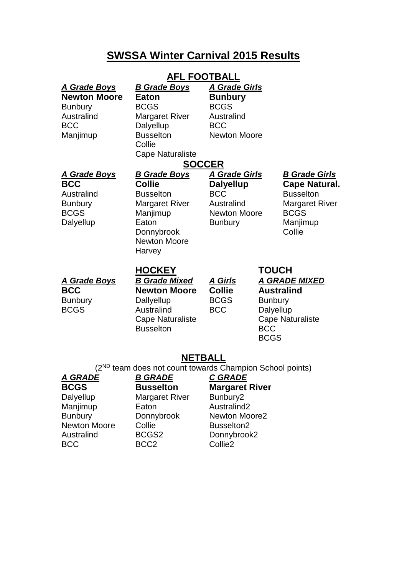# **SWSSA Winter Carnival 2015 Results**

# **AFL FOOTBALL**

| <b>A Grade Boys</b><br><b>Newton Moore</b><br><b>Bunbury</b><br>Australind<br><b>BCC</b><br>Manjimup | <b>B Grade Boys</b><br><b>Eaton</b><br><b>BCGS</b><br><b>Margaret River</b><br>Dalyellup<br><b>Busselton</b><br>Collie<br><b>Cape Naturaliste</b>                      | <b>A Grade Girls</b><br><b>Bunbury</b><br><b>BCGS</b><br>Australind<br><b>BCC</b><br><b>Newton Moore</b>      |                                                                                                                                                  |                                                                                                                                |
|------------------------------------------------------------------------------------------------------|------------------------------------------------------------------------------------------------------------------------------------------------------------------------|---------------------------------------------------------------------------------------------------------------|--------------------------------------------------------------------------------------------------------------------------------------------------|--------------------------------------------------------------------------------------------------------------------------------|
| <b>A Grade Boys</b><br><b>BCC</b><br>Australind<br><b>Bunbury</b><br><b>BCGS</b><br>Dalyellup        | <b>SOCCER</b><br><b>B Grade Boys</b><br><b>Collie</b><br><b>Busselton</b><br><b>Margaret River</b><br>Manjimup<br>Eaton<br>Donnybrook<br><b>Newton Moore</b><br>Harvey | <b>A Grade Girls</b><br><b>Dalyellup</b><br><b>BCC</b><br>Australind<br><b>Newton Moore</b><br><b>Bunbury</b> |                                                                                                                                                  | <b>B Grade Girls</b><br><b>Cape Natural.</b><br><b>Busselton</b><br><b>Margaret River</b><br><b>BCGS</b><br>Manjimup<br>Collie |
| <b>A Grade Boys</b><br><b>BCC</b><br><b>Bunbury</b><br><b>BCGS</b>                                   | <b>HOCKEY</b><br><b>B Grade Mixed</b><br><b>Newton Moore</b><br>Dallyellup<br>Australind<br><b>Cape Naturaliste</b><br><b>Busselton</b>                                | <u>A Girls</u><br><b>Collie</b><br><b>BCGS</b><br><b>BCC</b>                                                  | <b>TOUCH</b><br><b>A GRADE MIXED</b><br><b>Australind</b><br><b>Bunbury</b><br>Dalyellup<br><b>Cape Naturaliste</b><br><b>BCC</b><br><b>BCGS</b> |                                                                                                                                |
| <b>NETBALL</b><br>(2 <sup>ND</sup> team does not count towards Champion School points)               |                                                                                                                                                                        |                                                                                                               |                                                                                                                                                  |                                                                                                                                |
| A GRADE<br><b>BCGS</b>                                                                               | <b>B GRADE</b><br><b>Busselton</b>                                                                                                                                     | <b>C GRADE</b><br><b>Margaret River</b>                                                                       |                                                                                                                                                  |                                                                                                                                |

Dalyellup Margaret River Bunbury2 Dalyellup Margaret River Bunbury2<br>
Manjimup Eaton Australind2<br>
Bunbury Donnybrook Newton Mod Newton Moore Collie **Busselton2** Australind BCGS2 Donnybrook2

BCC BCC2 Collie2

Donnybrook Newton Moore2